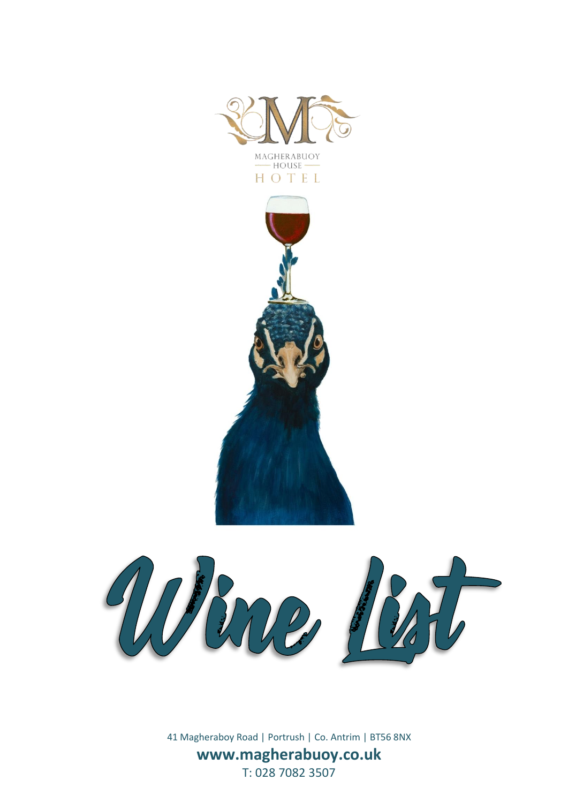





41 Magheraboy Road | Portrush | Co. Antrim | BT56 8NX **www.magherabuoy.co.uk** T: 028 7082 3507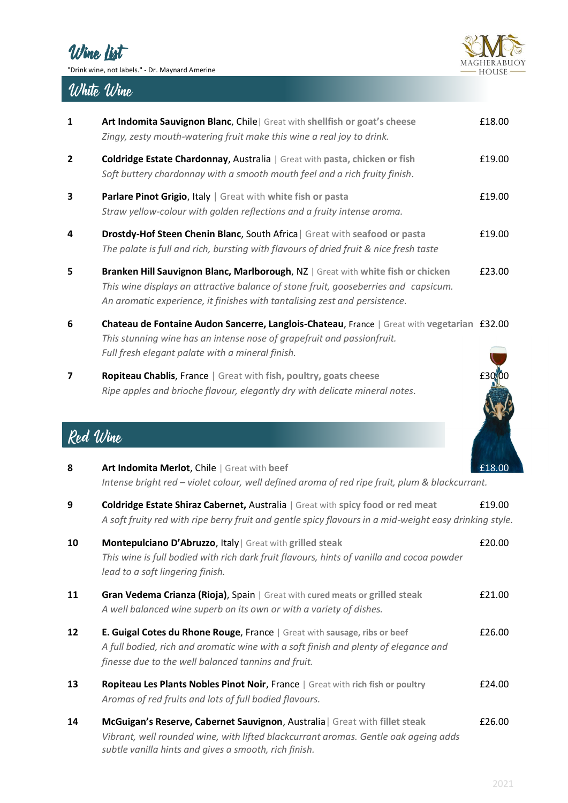



## White Wine

| $\mathbf{1}$   | Art Indomita Sauvignon Blanc, Chile   Great with shellfish or goat's cheese<br>Zingy, zesty mouth-watering fruit make this wine a real joy to drink.                                                                                                  | £18.00 |
|----------------|-------------------------------------------------------------------------------------------------------------------------------------------------------------------------------------------------------------------------------------------------------|--------|
| $\overline{2}$ | <b>Coldridge Estate Chardonnay, Australia   Great with pasta, chicken or fish</b><br>Soft buttery chardonnay with a smooth mouth feel and a rich fruity finish.                                                                                       | £19.00 |
| 3              | <b>Parlare Pinot Grigio, Italy</b>   Great with white fish or pasta<br>Straw yellow-colour with golden reflections and a fruity intense aroma.                                                                                                        | £19.00 |
| 4              | Drostdy-Hof Steen Chenin Blanc, South Africa   Great with seafood or pasta<br>The palate is full and rich, bursting with flavours of dried fruit & nice fresh taste                                                                                   | £19.00 |
| 5              | Branken Hill Sauvignon Blanc, Marlborough, NZ   Great with white fish or chicken<br>This wine displays an attractive balance of stone fruit, gooseberries and capsicum.<br>An aromatic experience, it finishes with tantalising zest and persistence. | £23.00 |
| 6              | Chateau de Fontaine Audon Sancerre, Langlois-Chateau, France   Great with vegetarian £32.00<br>This stunning wine has an intense nose of grapefruit and passionfruit.                                                                                 |        |

**7 Ropiteau Chablis**, France | Great with fish, poultry, goats cheese **1998 £30.000** *Ripe apples and brioche flavour, elegantly dry with delicate mineral notes.*

*Full fresh elegant palate with a mineral finish.*



## Red Wine

| 8  | Art Indomita Merlot, Chile   Great with beef<br>Intense bright red - violet colour, well defined aroma of red ripe fruit, plum & blackcurrant.                                                                              | £18.00 |
|----|-----------------------------------------------------------------------------------------------------------------------------------------------------------------------------------------------------------------------------|--------|
| 9  | <b>Coldridge Estate Shiraz Cabernet, Australia   Great with spicy food or red meat</b><br>A soft fruity red with ripe berry fruit and gentle spicy flavours in a mid-weight easy drinking style.                            | £19.00 |
| 10 | Montepulciano D'Abruzzo, Italy   Great with grilled steak<br>This wine is full bodied with rich dark fruit flavours, hints of vanilla and cocoa powder<br>lead to a soft lingering finish.                                  | £20.00 |
| 11 | Gran Vedema Crianza (Rioja), Spain   Great with cured meats or grilled steak<br>A well balanced wine superb on its own or with a variety of dishes.                                                                         | £21.00 |
| 12 | E. Guigal Cotes du Rhone Rouge, France   Great with sausage, ribs or beef<br>A full bodied, rich and aromatic wine with a soft finish and plenty of elegance and<br>finesse due to the well balanced tannins and fruit.     | £26.00 |
| 13 | Ropiteau Les Plants Nobles Pinot Noir, France   Great with rich fish or poultry<br>Aromas of red fruits and lots of full bodied flavours.                                                                                   | £24.00 |
| 14 | McGuigan's Reserve, Cabernet Sauvignon, Australia   Great with fillet steak<br>Vibrant, well rounded wine, with lifted blackcurrant aromas. Gentle oak ageing adds<br>subtle vanilla hints and gives a smooth, rich finish. | £26.00 |